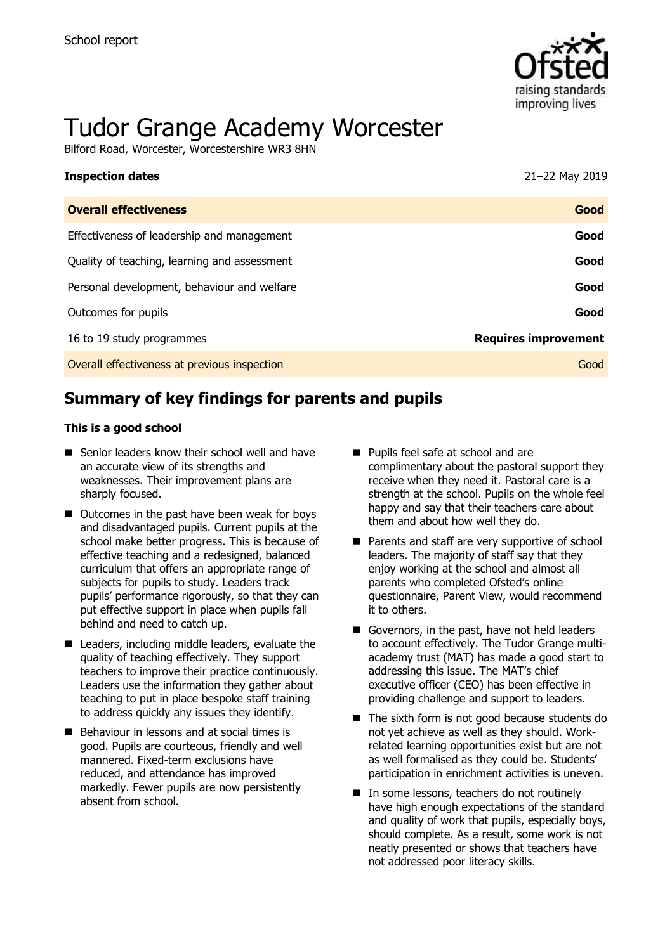

# Tudor Grange Academy Worcester

Bilford Road, Worcester, Worcestershire WR3 8HN

| <b>Inspection dates</b>                      | 21-22 May 2019              |
|----------------------------------------------|-----------------------------|
| <b>Overall effectiveness</b>                 | Good                        |
| Effectiveness of leadership and management   | Good                        |
| Quality of teaching, learning and assessment | Good                        |
| Personal development, behaviour and welfare  | Good                        |
| Outcomes for pupils                          | Good                        |
| 16 to 19 study programmes                    | <b>Requires improvement</b> |
| Overall effectiveness at previous inspection | Good                        |

# **Summary of key findings for parents and pupils**

#### **This is a good school**

- Senior leaders know their school well and have an accurate view of its strengths and weaknesses. Their improvement plans are sharply focused.
- Outcomes in the past have been weak for boys and disadvantaged pupils. Current pupils at the school make better progress. This is because of effective teaching and a redesigned, balanced curriculum that offers an appropriate range of subjects for pupils to study. Leaders track pupils' performance rigorously, so that they can put effective support in place when pupils fall behind and need to catch up.
- Leaders, including middle leaders, evaluate the quality of teaching effectively. They support teachers to improve their practice continuously. Leaders use the information they gather about teaching to put in place bespoke staff training to address quickly any issues they identify.
- Behaviour in lessons and at social times is good. Pupils are courteous, friendly and well mannered. Fixed-term exclusions have reduced, and attendance has improved markedly. Fewer pupils are now persistently absent from school.
- Pupils feel safe at school and are complimentary about the pastoral support they receive when they need it. Pastoral care is a strength at the school. Pupils on the whole feel happy and say that their teachers care about them and about how well they do.
- Parents and staff are very supportive of school leaders. The majority of staff say that they enjoy working at the school and almost all parents who completed Ofsted's online questionnaire, Parent View, would recommend it to others.
- Governors, in the past, have not held leaders to account effectively. The Tudor Grange multiacademy trust (MAT) has made a good start to addressing this issue. The MAT's chief executive officer (CEO) has been effective in providing challenge and support to leaders.
- The sixth form is not good because students do not yet achieve as well as they should. Workrelated learning opportunities exist but are not as well formalised as they could be. Students' participation in enrichment activities is uneven.
- In some lessons, teachers do not routinely have high enough expectations of the standard and quality of work that pupils, especially boys, should complete. As a result, some work is not neatly presented or shows that teachers have not addressed poor literacy skills.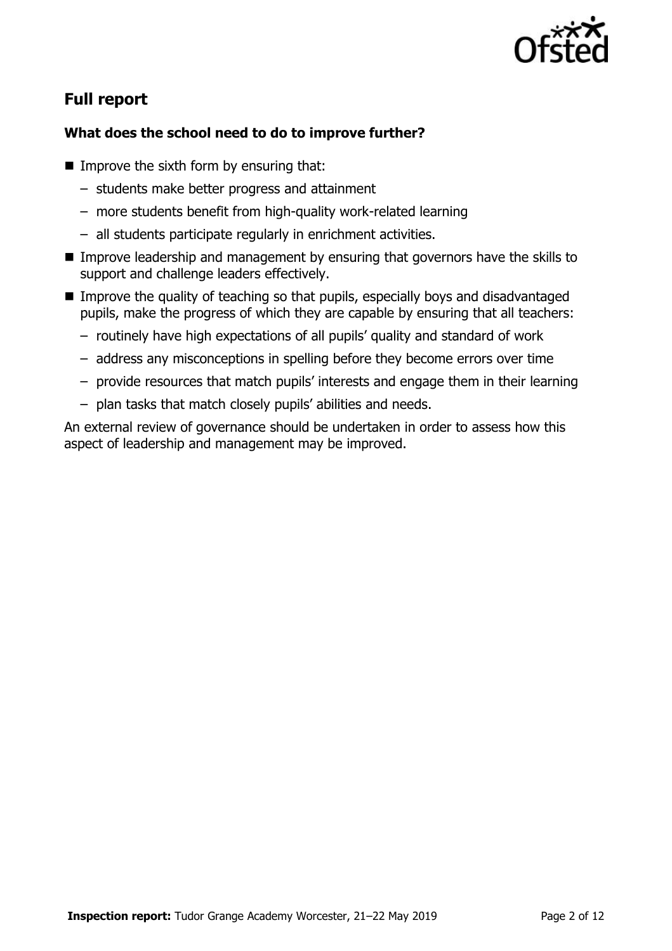

# **Full report**

### **What does the school need to do to improve further?**

- $\blacksquare$  Improve the sixth form by ensuring that:
	- students make better progress and attainment
	- more students benefit from high-quality work-related learning
	- all students participate regularly in enrichment activities.
- Improve leadership and management by ensuring that governors have the skills to support and challenge leaders effectively.
- Improve the quality of teaching so that pupils, especially boys and disadvantaged pupils, make the progress of which they are capable by ensuring that all teachers:
	- routinely have high expectations of all pupils' quality and standard of work
	- address any misconceptions in spelling before they become errors over time
	- provide resources that match pupils' interests and engage them in their learning
	- plan tasks that match closely pupils' abilities and needs.

An external review of governance should be undertaken in order to assess how this aspect of leadership and management may be improved.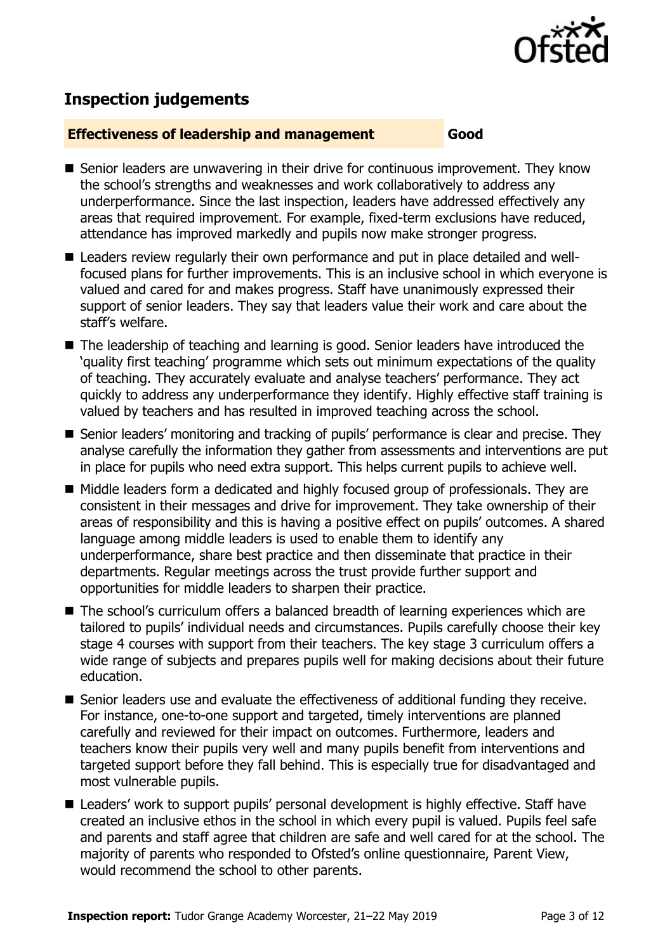

# **Inspection judgements**

#### **Effectiveness of leadership and management Good**

- Senior leaders are unwavering in their drive for continuous improvement. They know the school's strengths and weaknesses and work collaboratively to address any underperformance. Since the last inspection, leaders have addressed effectively any areas that required improvement. For example, fixed-term exclusions have reduced, attendance has improved markedly and pupils now make stronger progress.
- Leaders review regularly their own performance and put in place detailed and wellfocused plans for further improvements. This is an inclusive school in which everyone is valued and cared for and makes progress. Staff have unanimously expressed their support of senior leaders. They say that leaders value their work and care about the staff's welfare.
- The leadership of teaching and learning is good. Senior leaders have introduced the 'quality first teaching' programme which sets out minimum expectations of the quality of teaching. They accurately evaluate and analyse teachers' performance. They act quickly to address any underperformance they identify. Highly effective staff training is valued by teachers and has resulted in improved teaching across the school.
- Senior leaders' monitoring and tracking of pupils' performance is clear and precise. They analyse carefully the information they gather from assessments and interventions are put in place for pupils who need extra support. This helps current pupils to achieve well.
- Middle leaders form a dedicated and highly focused group of professionals. They are consistent in their messages and drive for improvement. They take ownership of their areas of responsibility and this is having a positive effect on pupils' outcomes. A shared language among middle leaders is used to enable them to identify any underperformance, share best practice and then disseminate that practice in their departments. Regular meetings across the trust provide further support and opportunities for middle leaders to sharpen their practice.
- The school's curriculum offers a balanced breadth of learning experiences which are tailored to pupils' individual needs and circumstances. Pupils carefully choose their key stage 4 courses with support from their teachers. The key stage 3 curriculum offers a wide range of subjects and prepares pupils well for making decisions about their future education.
- Senior leaders use and evaluate the effectiveness of additional funding they receive. For instance, one-to-one support and targeted, timely interventions are planned carefully and reviewed for their impact on outcomes. Furthermore, leaders and teachers know their pupils very well and many pupils benefit from interventions and targeted support before they fall behind. This is especially true for disadvantaged and most vulnerable pupils.
- Leaders' work to support pupils' personal development is highly effective. Staff have created an inclusive ethos in the school in which every pupil is valued. Pupils feel safe and parents and staff agree that children are safe and well cared for at the school. The majority of parents who responded to Ofsted's online questionnaire, Parent View, would recommend the school to other parents.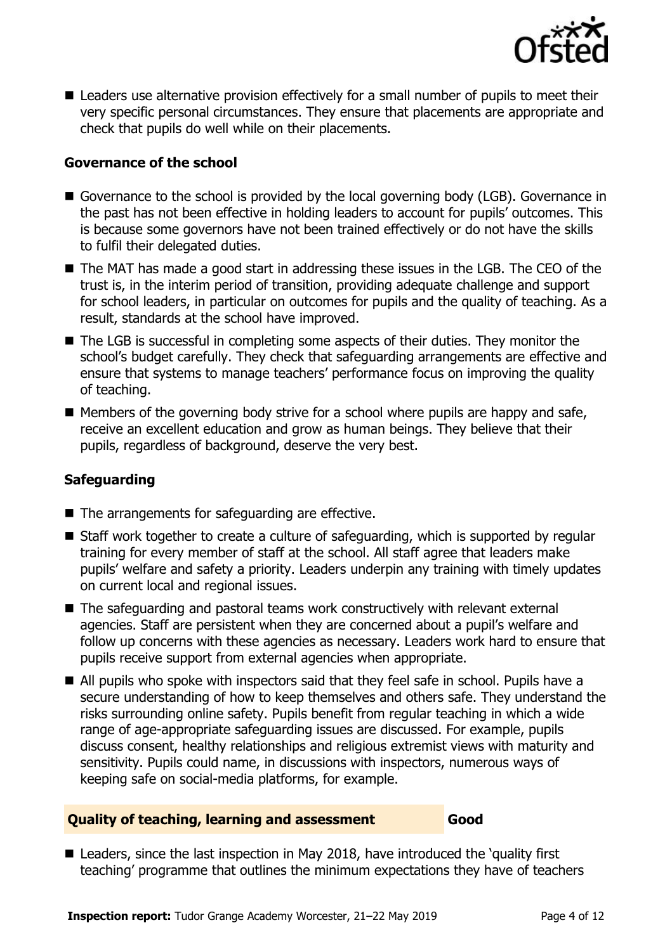

■ Leaders use alternative provision effectively for a small number of pupils to meet their very specific personal circumstances. They ensure that placements are appropriate and check that pupils do well while on their placements.

#### **Governance of the school**

- Governance to the school is provided by the local governing body (LGB). Governance in the past has not been effective in holding leaders to account for pupils' outcomes. This is because some governors have not been trained effectively or do not have the skills to fulfil their delegated duties.
- The MAT has made a good start in addressing these issues in the LGB. The CEO of the trust is, in the interim period of transition, providing adequate challenge and support for school leaders, in particular on outcomes for pupils and the quality of teaching. As a result, standards at the school have improved.
- The LGB is successful in completing some aspects of their duties. They monitor the school's budget carefully. They check that safeguarding arrangements are effective and ensure that systems to manage teachers' performance focus on improving the quality of teaching.
- $\blacksquare$  Members of the governing body strive for a school where pupils are happy and safe, receive an excellent education and grow as human beings. They believe that their pupils, regardless of background, deserve the very best.

#### **Safeguarding**

- The arrangements for safeguarding are effective.
- Staff work together to create a culture of safeguarding, which is supported by regular training for every member of staff at the school. All staff agree that leaders make pupils' welfare and safety a priority. Leaders underpin any training with timely updates on current local and regional issues.
- The safeguarding and pastoral teams work constructively with relevant external agencies. Staff are persistent when they are concerned about a pupil's welfare and follow up concerns with these agencies as necessary. Leaders work hard to ensure that pupils receive support from external agencies when appropriate.
- All pupils who spoke with inspectors said that they feel safe in school. Pupils have a secure understanding of how to keep themselves and others safe. They understand the risks surrounding online safety. Pupils benefit from regular teaching in which a wide range of age-appropriate safeguarding issues are discussed. For example, pupils discuss consent, healthy relationships and religious extremist views with maturity and sensitivity. Pupils could name, in discussions with inspectors, numerous ways of keeping safe on social-media platforms, for example.

#### **Quality of teaching, learning and assessment Good**

■ Leaders, since the last inspection in May 2018, have introduced the 'quality first teaching' programme that outlines the minimum expectations they have of teachers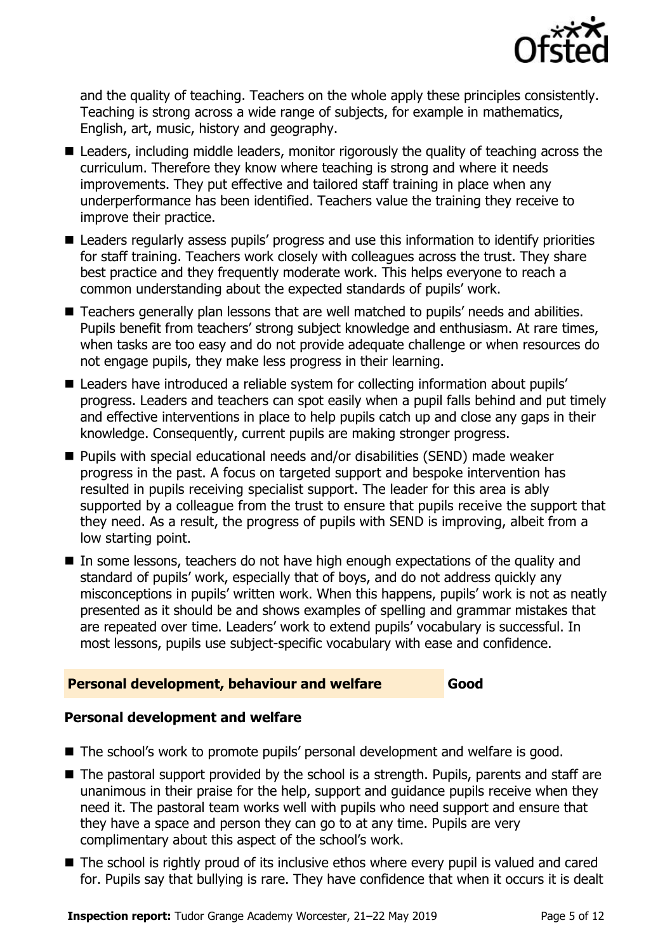

and the quality of teaching. Teachers on the whole apply these principles consistently. Teaching is strong across a wide range of subjects, for example in mathematics, English, art, music, history and geography.

- Leaders, including middle leaders, monitor rigorously the quality of teaching across the curriculum. Therefore they know where teaching is strong and where it needs improvements. They put effective and tailored staff training in place when any underperformance has been identified. Teachers value the training they receive to improve their practice.
- Leaders regularly assess pupils' progress and use this information to identify priorities for staff training. Teachers work closely with colleagues across the trust. They share best practice and they frequently moderate work. This helps everyone to reach a common understanding about the expected standards of pupils' work.
- Teachers generally plan lessons that are well matched to pupils' needs and abilities. Pupils benefit from teachers' strong subject knowledge and enthusiasm. At rare times, when tasks are too easy and do not provide adequate challenge or when resources do not engage pupils, they make less progress in their learning.
- Leaders have introduced a reliable system for collecting information about pupils' progress. Leaders and teachers can spot easily when a pupil falls behind and put timely and effective interventions in place to help pupils catch up and close any gaps in their knowledge. Consequently, current pupils are making stronger progress.
- Pupils with special educational needs and/or disabilities (SEND) made weaker progress in the past. A focus on targeted support and bespoke intervention has resulted in pupils receiving specialist support. The leader for this area is ably supported by a colleague from the trust to ensure that pupils receive the support that they need. As a result, the progress of pupils with SEND is improving, albeit from a low starting point.
- In some lessons, teachers do not have high enough expectations of the quality and standard of pupils' work, especially that of boys, and do not address quickly any misconceptions in pupils' written work. When this happens, pupils' work is not as neatly presented as it should be and shows examples of spelling and grammar mistakes that are repeated over time. Leaders' work to extend pupils' vocabulary is successful. In most lessons, pupils use subject-specific vocabulary with ease and confidence.

#### **Personal development, behaviour and welfare Good**

#### **Personal development and welfare**

- The school's work to promote pupils' personal development and welfare is good.
- The pastoral support provided by the school is a strength. Pupils, parents and staff are unanimous in their praise for the help, support and guidance pupils receive when they need it. The pastoral team works well with pupils who need support and ensure that they have a space and person they can go to at any time. Pupils are very complimentary about this aspect of the school's work.
- The school is rightly proud of its inclusive ethos where every pupil is valued and cared for. Pupils say that bullying is rare. They have confidence that when it occurs it is dealt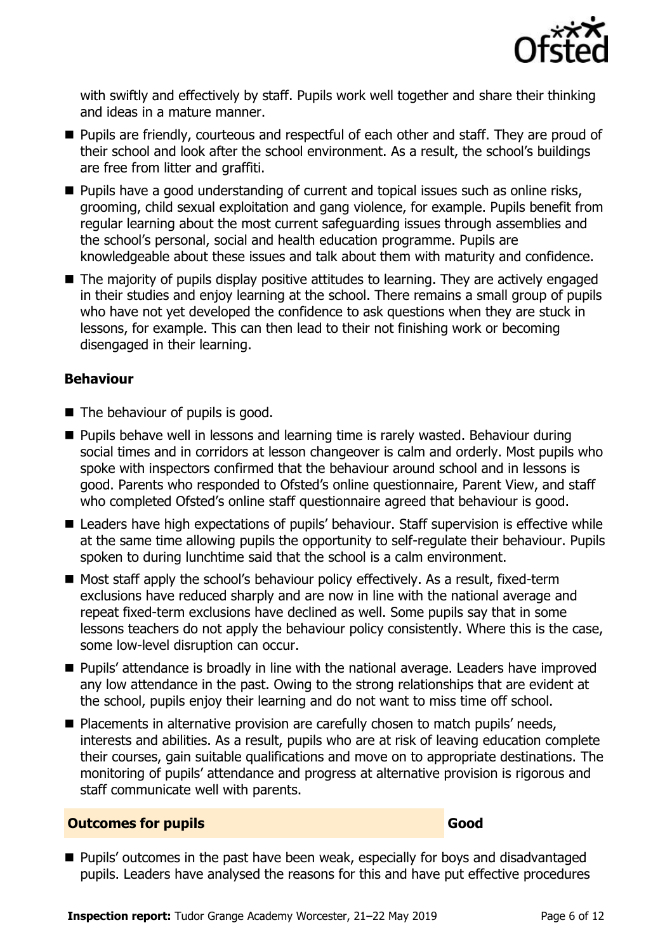

with swiftly and effectively by staff. Pupils work well together and share their thinking and ideas in a mature manner.

- Pupils are friendly, courteous and respectful of each other and staff. They are proud of their school and look after the school environment. As a result, the school's buildings are free from litter and graffiti.
- Pupils have a good understanding of current and topical issues such as online risks, grooming, child sexual exploitation and gang violence, for example. Pupils benefit from regular learning about the most current safeguarding issues through assemblies and the school's personal, social and health education programme. Pupils are knowledgeable about these issues and talk about them with maturity and confidence.
- The majority of pupils display positive attitudes to learning. They are actively engaged in their studies and enjoy learning at the school. There remains a small group of pupils who have not yet developed the confidence to ask questions when they are stuck in lessons, for example. This can then lead to their not finishing work or becoming disengaged in their learning.

#### **Behaviour**

- The behaviour of pupils is good.
- Pupils behave well in lessons and learning time is rarely wasted. Behaviour during social times and in corridors at lesson changeover is calm and orderly. Most pupils who spoke with inspectors confirmed that the behaviour around school and in lessons is good. Parents who responded to Ofsted's online questionnaire, Parent View, and staff who completed Ofsted's online staff questionnaire agreed that behaviour is good.
- Leaders have high expectations of pupils' behaviour. Staff supervision is effective while at the same time allowing pupils the opportunity to self-regulate their behaviour. Pupils spoken to during lunchtime said that the school is a calm environment.
- Most staff apply the school's behaviour policy effectively. As a result, fixed-term exclusions have reduced sharply and are now in line with the national average and repeat fixed-term exclusions have declined as well. Some pupils say that in some lessons teachers do not apply the behaviour policy consistently. Where this is the case, some low-level disruption can occur.
- Pupils' attendance is broadly in line with the national average. Leaders have improved any low attendance in the past. Owing to the strong relationships that are evident at the school, pupils enjoy their learning and do not want to miss time off school.
- Placements in alternative provision are carefully chosen to match pupils' needs, interests and abilities. As a result, pupils who are at risk of leaving education complete their courses, gain suitable qualifications and move on to appropriate destinations. The monitoring of pupils' attendance and progress at alternative provision is rigorous and staff communicate well with parents.

#### **Outcomes for pupils Good**

■ Pupils' outcomes in the past have been weak, especially for boys and disadvantaged pupils. Leaders have analysed the reasons for this and have put effective procedures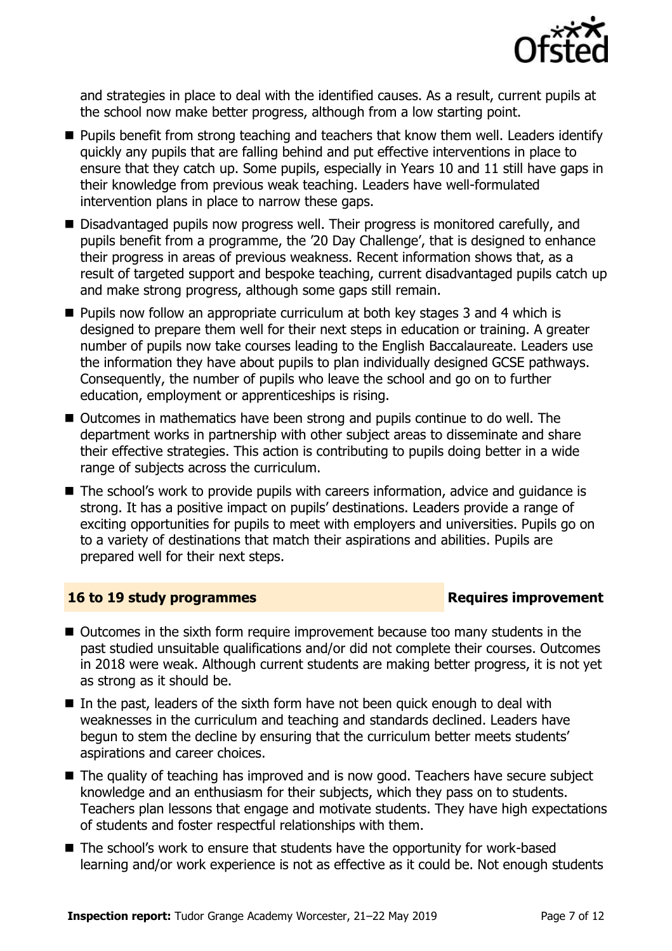

and strategies in place to deal with the identified causes. As a result, current pupils at the school now make better progress, although from a low starting point.

- Pupils benefit from strong teaching and teachers that know them well. Leaders identify quickly any pupils that are falling behind and put effective interventions in place to ensure that they catch up. Some pupils, especially in Years 10 and 11 still have gaps in their knowledge from previous weak teaching. Leaders have well-formulated intervention plans in place to narrow these gaps.
- Disadvantaged pupils now progress well. Their progress is monitored carefully, and pupils benefit from a programme, the '20 Day Challenge', that is designed to enhance their progress in areas of previous weakness. Recent information shows that, as a result of targeted support and bespoke teaching, current disadvantaged pupils catch up and make strong progress, although some gaps still remain.
- Pupils now follow an appropriate curriculum at both key stages 3 and 4 which is designed to prepare them well for their next steps in education or training. A greater number of pupils now take courses leading to the English Baccalaureate. Leaders use the information they have about pupils to plan individually designed GCSE pathways. Consequently, the number of pupils who leave the school and go on to further education, employment or apprenticeships is rising.
- Outcomes in mathematics have been strong and pupils continue to do well. The department works in partnership with other subject areas to disseminate and share their effective strategies. This action is contributing to pupils doing better in a wide range of subjects across the curriculum.
- The school's work to provide pupils with careers information, advice and guidance is strong. It has a positive impact on pupils' destinations. Leaders provide a range of exciting opportunities for pupils to meet with employers and universities. Pupils go on to a variety of destinations that match their aspirations and abilities. Pupils are prepared well for their next steps.

#### **16 to 19 study programmes Requires improvement**

- Outcomes in the sixth form require improvement because too many students in the past studied unsuitable qualifications and/or did not complete their courses. Outcomes in 2018 were weak. Although current students are making better progress, it is not yet as strong as it should be.
- In the past, leaders of the sixth form have not been quick enough to deal with weaknesses in the curriculum and teaching and standards declined. Leaders have begun to stem the decline by ensuring that the curriculum better meets students' aspirations and career choices.
- The quality of teaching has improved and is now good. Teachers have secure subject knowledge and an enthusiasm for their subjects, which they pass on to students. Teachers plan lessons that engage and motivate students. They have high expectations of students and foster respectful relationships with them.
- The school's work to ensure that students have the opportunity for work-based learning and/or work experience is not as effective as it could be. Not enough students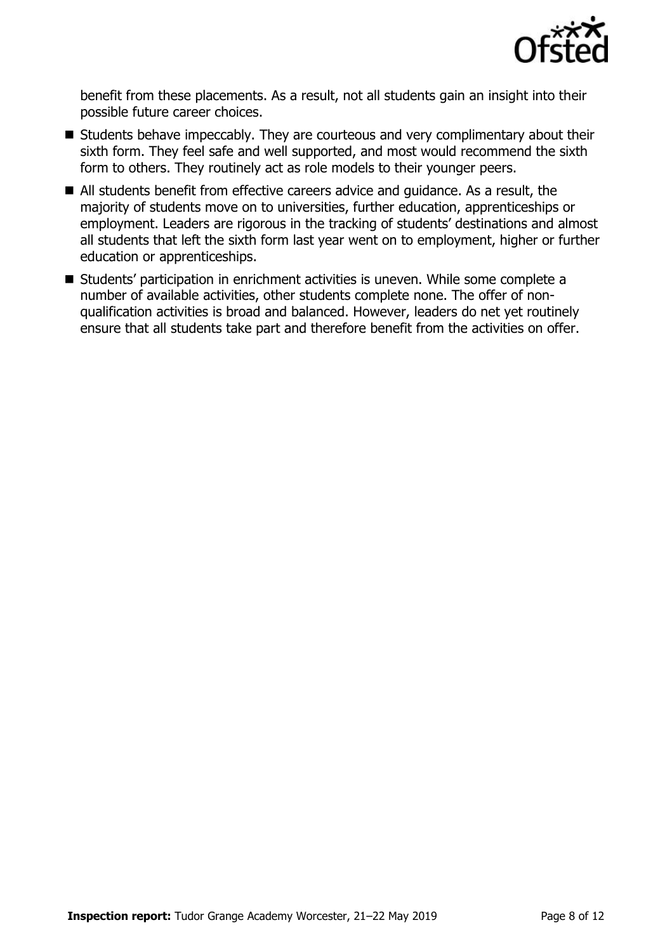

benefit from these placements. As a result, not all students gain an insight into their possible future career choices.

- Students behave impeccably. They are courteous and very complimentary about their sixth form. They feel safe and well supported, and most would recommend the sixth form to others. They routinely act as role models to their younger peers.
- All students benefit from effective careers advice and guidance. As a result, the majority of students move on to universities, further education, apprenticeships or employment. Leaders are rigorous in the tracking of students' destinations and almost all students that left the sixth form last year went on to employment, higher or further education or apprenticeships.
- Students' participation in enrichment activities is uneven. While some complete a number of available activities, other students complete none. The offer of nonqualification activities is broad and balanced. However, leaders do net yet routinely ensure that all students take part and therefore benefit from the activities on offer.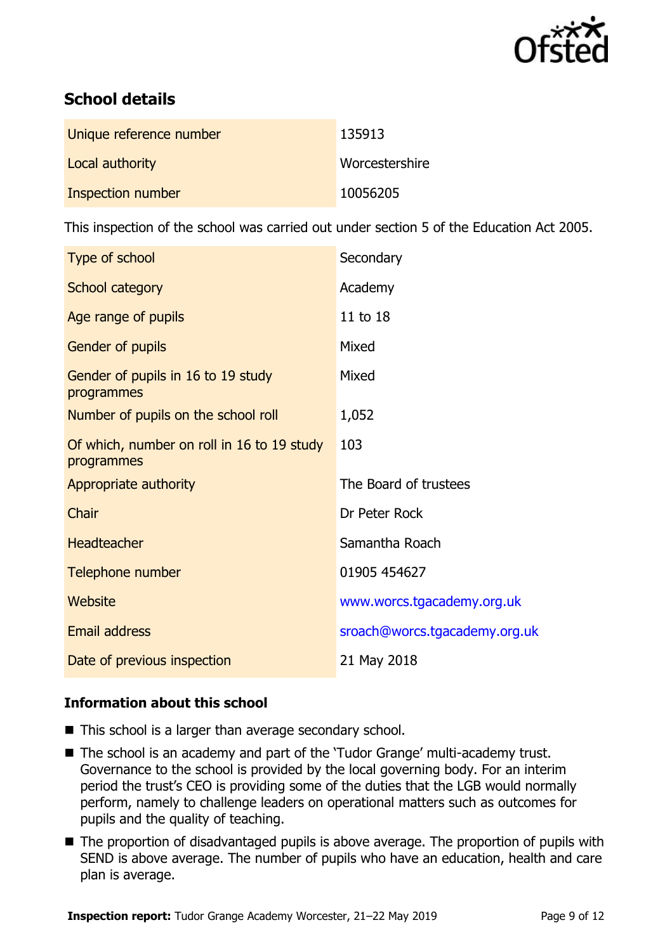

# **School details**

| Unique reference number | 135913         |
|-------------------------|----------------|
| Local authority         | Worcestershire |
| Inspection number       | 10056205       |

This inspection of the school was carried out under section 5 of the Education Act 2005.

| Type of school                                           | Secondary                     |
|----------------------------------------------------------|-------------------------------|
| School category                                          | Academy                       |
| Age range of pupils                                      | 11 to 18                      |
| Gender of pupils                                         | Mixed                         |
| Gender of pupils in 16 to 19 study<br>programmes         | Mixed                         |
| Number of pupils on the school roll                      | 1,052                         |
| Of which, number on roll in 16 to 19 study<br>programmes | 103                           |
| Appropriate authority                                    | The Board of trustees         |
| Chair                                                    | Dr Peter Rock                 |
| <b>Headteacher</b>                                       | Samantha Roach                |
| Telephone number                                         | 01905 454627                  |
| Website                                                  | www.worcs.tgacademy.org.uk    |
| <b>Email address</b>                                     | sroach@worcs.tgacademy.org.uk |
| Date of previous inspection                              | 21 May 2018                   |

#### **Information about this school**

- This school is a larger than average secondary school.
- The school is an academy and part of the 'Tudor Grange' multi-academy trust. Governance to the school is provided by the local governing body. For an interim period the trust's CEO is providing some of the duties that the LGB would normally perform, namely to challenge leaders on operational matters such as outcomes for pupils and the quality of teaching.
- The proportion of disadvantaged pupils is above average. The proportion of pupils with SEND is above average. The number of pupils who have an education, health and care plan is average.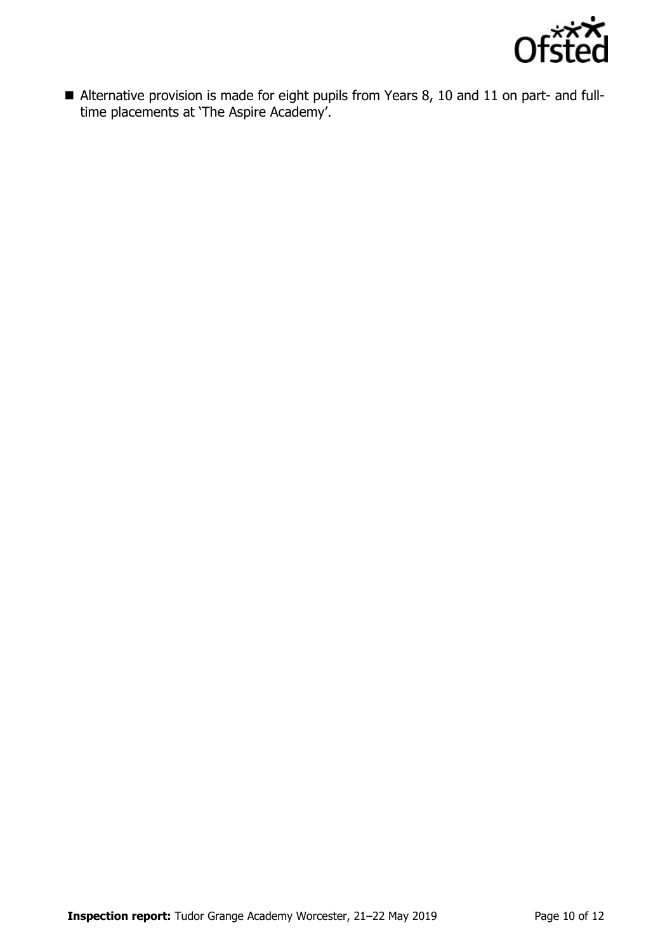

■ Alternative provision is made for eight pupils from Years 8, 10 and 11 on part- and fulltime placements at 'The Aspire Academy'.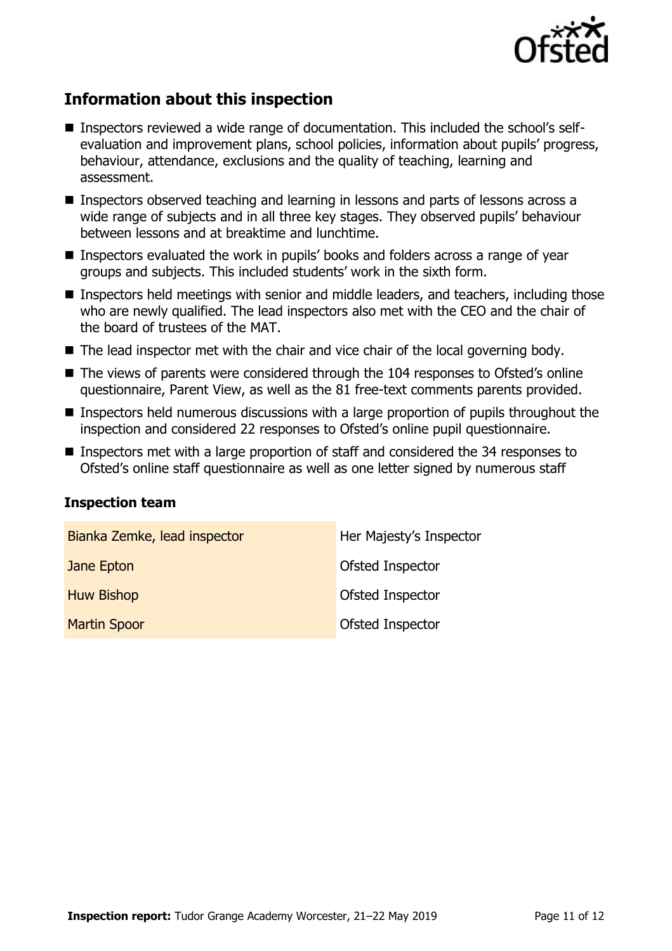

# **Information about this inspection**

- Inspectors reviewed a wide range of documentation. This included the school's selfevaluation and improvement plans, school policies, information about pupils' progress, behaviour, attendance, exclusions and the quality of teaching, learning and assessment.
- Inspectors observed teaching and learning in lessons and parts of lessons across a wide range of subjects and in all three key stages. They observed pupils' behaviour between lessons and at breaktime and lunchtime.
- Inspectors evaluated the work in pupils' books and folders across a range of year groups and subjects. This included students' work in the sixth form.
- Inspectors held meetings with senior and middle leaders, and teachers, including those who are newly qualified. The lead inspectors also met with the CEO and the chair of the board of trustees of the MAT.
- The lead inspector met with the chair and vice chair of the local governing body.
- The views of parents were considered through the 104 responses to Ofsted's online questionnaire, Parent View, as well as the 81 free-text comments parents provided.
- Inspectors held numerous discussions with a large proportion of pupils throughout the inspection and considered 22 responses to Ofsted's online pupil questionnaire.
- Inspectors met with a large proportion of staff and considered the 34 responses to Ofsted's online staff questionnaire as well as one letter signed by numerous staff

#### **Inspection team**

| Bianka Zemke, lead inspector | Her Majesty's Inspector |
|------------------------------|-------------------------|
| Jane Epton                   | <b>Ofsted Inspector</b> |
| <b>Huw Bishop</b>            | <b>Ofsted Inspector</b> |
| <b>Martin Spoor</b>          | Ofsted Inspector        |